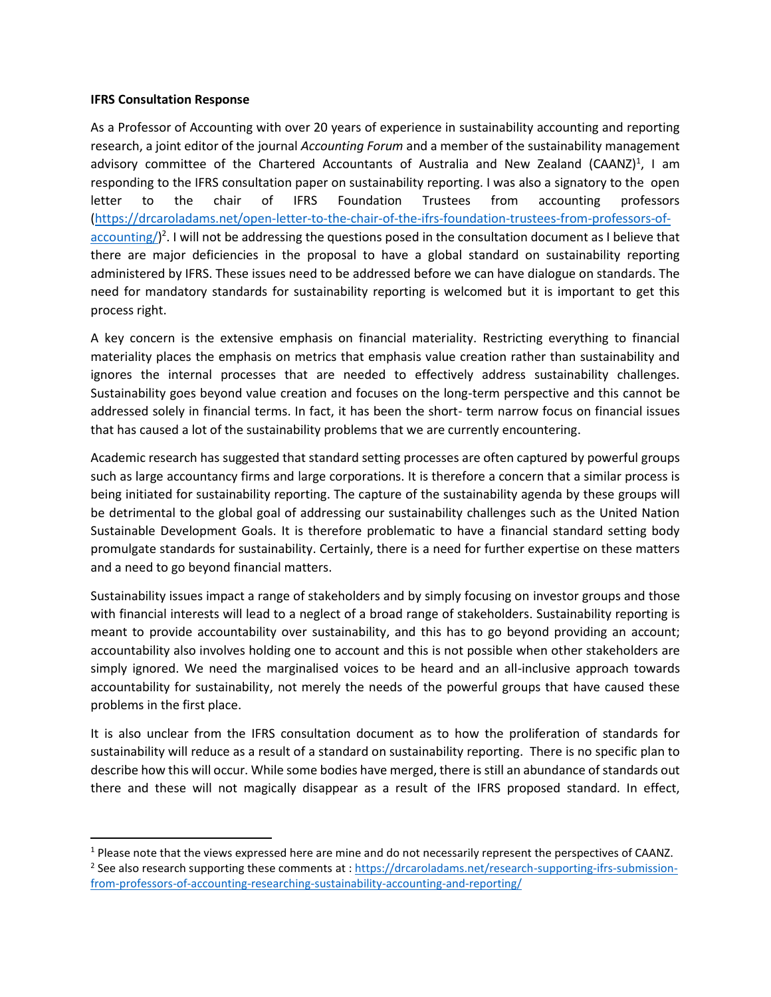## **IFRS Consultation Response**

As a Professor of Accounting with over 20 years of experience in sustainability accounting and reporting research, a joint editor of the journal *Accounting Forum* and a member of the sustainability management advisory committee of the Chartered Accountants of Australia and New Zealand (CAANZ)<sup>1</sup>, I am responding to the IFRS consultation paper on sustainability reporting. I was also a signatory to the open letter to the chair of IFRS Foundation Trustees from accounting professors [\(https://drcaroladams.net/open-letter-to-the-chair-of-the-ifrs-foundation-trustees-from-professors-of](https://drcaroladams.net/open-letter-to-the-chair-of-the-ifrs-foundation-trustees-from-professors-of-accounting/)[accounting/\)](https://drcaroladams.net/open-letter-to-the-chair-of-the-ifrs-foundation-trustees-from-professors-of-accounting/)<sup>2</sup>. I will not be addressing the questions posed in the consultation document as I believe that there are major deficiencies in the proposal to have a global standard on sustainability reporting administered by IFRS. These issues need to be addressed before we can have dialogue on standards. The need for mandatory standards for sustainability reporting is welcomed but it is important to get this process right.

A key concern is the extensive emphasis on financial materiality. Restricting everything to financial materiality places the emphasis on metrics that emphasis value creation rather than sustainability and ignores the internal processes that are needed to effectively address sustainability challenges. Sustainability goes beyond value creation and focuses on the long-term perspective and this cannot be addressed solely in financial terms. In fact, it has been the short- term narrow focus on financial issues that has caused a lot of the sustainability problems that we are currently encountering.

Academic research has suggested that standard setting processes are often captured by powerful groups such as large accountancy firms and large corporations. It is therefore a concern that a similar process is being initiated for sustainability reporting. The capture of the sustainability agenda by these groups will be detrimental to the global goal of addressing our sustainability challenges such as the United Nation Sustainable Development Goals. It is therefore problematic to have a financial standard setting body promulgate standards for sustainability. Certainly, there is a need for further expertise on these matters and a need to go beyond financial matters.

Sustainability issues impact a range of stakeholders and by simply focusing on investor groups and those with financial interests will lead to a neglect of a broad range of stakeholders. Sustainability reporting is meant to provide accountability over sustainability, and this has to go beyond providing an account; accountability also involves holding one to account and this is not possible when other stakeholders are simply ignored. We need the marginalised voices to be heard and an all-inclusive approach towards accountability for sustainability, not merely the needs of the powerful groups that have caused these problems in the first place.

It is also unclear from the IFRS consultation document as to how the proliferation of standards for sustainability will reduce as a result of a standard on sustainability reporting. There is no specific plan to describe how this will occur. While some bodies have merged, there is still an abundance of standards out there and these will not magically disappear as a result of the IFRS proposed standard. In effect,

<sup>&</sup>lt;sup>1</sup> Please note that the views expressed here are mine and do not necessarily represent the perspectives of CAANZ. <sup>2</sup> See also research supporting these comments at : [https://drcaroladams.net/research-supporting-ifrs-submission](https://drcaroladams.net/research-supporting-ifrs-submission-from-professors-of-accounting-researching-sustainability-accounting-and-reporting/)[from-professors-of-accounting-researching-sustainability-accounting-and-reporting/](https://drcaroladams.net/research-supporting-ifrs-submission-from-professors-of-accounting-researching-sustainability-accounting-and-reporting/)